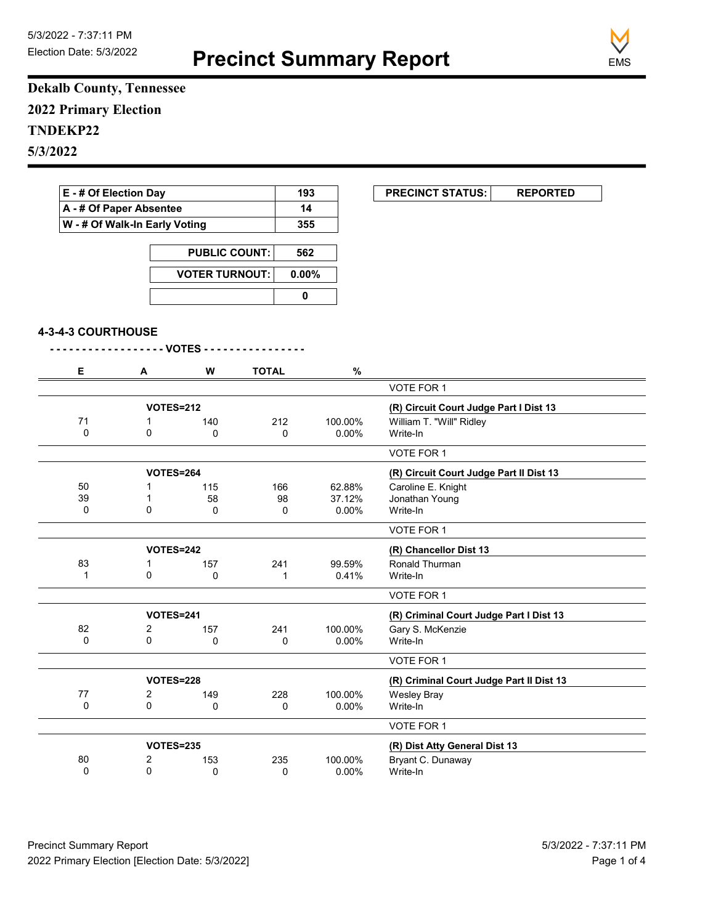**Precinct Summary Report**



**Dekalb County, Tennessee 2022 Primary Election TNDEKP22 5/3/2022**

| E - # Of Election Day                                    |                      |                       |              | 193       | <b>PRECINCT STATUS:</b><br><b>REPORTED</b> |
|----------------------------------------------------------|----------------------|-----------------------|--------------|-----------|--------------------------------------------|
| A - # Of Paper Absentee<br>W - # Of Walk-In Early Voting |                      |                       |              | 14        |                                            |
|                                                          |                      |                       |              | 355       |                                            |
|                                                          | <b>PUBLIC COUNT:</b> |                       |              | 562       |                                            |
|                                                          |                      | <b>VOTER TURNOUT:</b> |              | 0.00%     |                                            |
|                                                          |                      |                       |              | $\pmb{0}$ |                                            |
|                                                          |                      |                       |              |           |                                            |
| 4-3-4-3 COURTHOUSE                                       |                      |                       |              |           |                                            |
|                                                          |                      | - - VOTES - - -       |              |           |                                            |
| Е                                                        | Α                    | W                     | <b>TOTAL</b> | $\%$      |                                            |
|                                                          |                      |                       |              |           | VOTE FOR 1                                 |
|                                                          | VOTES=212            |                       |              |           | (R) Circuit Court Judge Part I Dist 13     |
| 71                                                       | 1                    | 140                   | 212          | 100.00%   | William T. "Will" Ridley                   |
| $\mathbf 0$                                              | 0                    | 0                     | 0            | $0.00\%$  | Write-In                                   |
|                                                          |                      |                       |              |           | VOTE FOR 1                                 |
|                                                          | <b>VOTES=264</b>     |                       |              |           | (R) Circuit Court Judge Part II Dist 13    |
| 50                                                       | 1                    | 115                   | 166          | 62.88%    | Caroline E. Knight                         |
| 39                                                       | $\mathbf 1$          | 58                    | 98           | 37.12%    | Jonathan Young                             |
| 0                                                        | $\mathbf 0$          | 0                     | 0            | $0.00\%$  | Write-In                                   |
|                                                          |                      |                       |              |           | VOTE FOR 1                                 |
|                                                          | VOTES=242            |                       |              |           | (R) Chancellor Dist 13                     |
| 83                                                       | 1                    | 157                   | 241          | 99.59%    | Ronald Thurman                             |
| $\mathbf{1}$                                             | $\mathbf 0$          | 0                     | $\mathbf{1}$ | 0.41%     | Write-In                                   |
|                                                          |                      |                       |              |           | VOTE FOR 1                                 |
|                                                          | <b>VOTES=241</b>     |                       |              |           | (R) Criminal Court Judge Part I Dist 13    |
| 82                                                       | $\overline{2}$       | 157                   | 241          | 100.00%   | Gary S. McKenzie                           |
| 0                                                        | $\mathbf 0$          | 0                     | 0            | 0.00%     | Write-In                                   |
|                                                          |                      |                       |              |           | VOTE FOR 1                                 |
|                                                          | <b>VOTES=228</b>     |                       |              |           | (R) Criminal Court Judge Part II Dist 13   |
| 77                                                       | 2                    | 149                   | 228          | 100.00%   | <b>Wesley Bray</b>                         |
| 0                                                        | 0                    | 0                     | 0            | $0.00\%$  | Write-In                                   |
|                                                          |                      |                       |              |           | VOTE EOR 1                                 |

|    |           |     |                               |          | VOTE FOR 1        |  |
|----|-----------|-----|-------------------------------|----------|-------------------|--|
|    | VOTES=235 |     | (R) Dist Atty General Dist 13 |          |                   |  |
| 80 |           | 153 | 235                           | 100.00%  | Bryant C. Dunaway |  |
|    |           |     |                               | $0.00\%$ | Write-In          |  |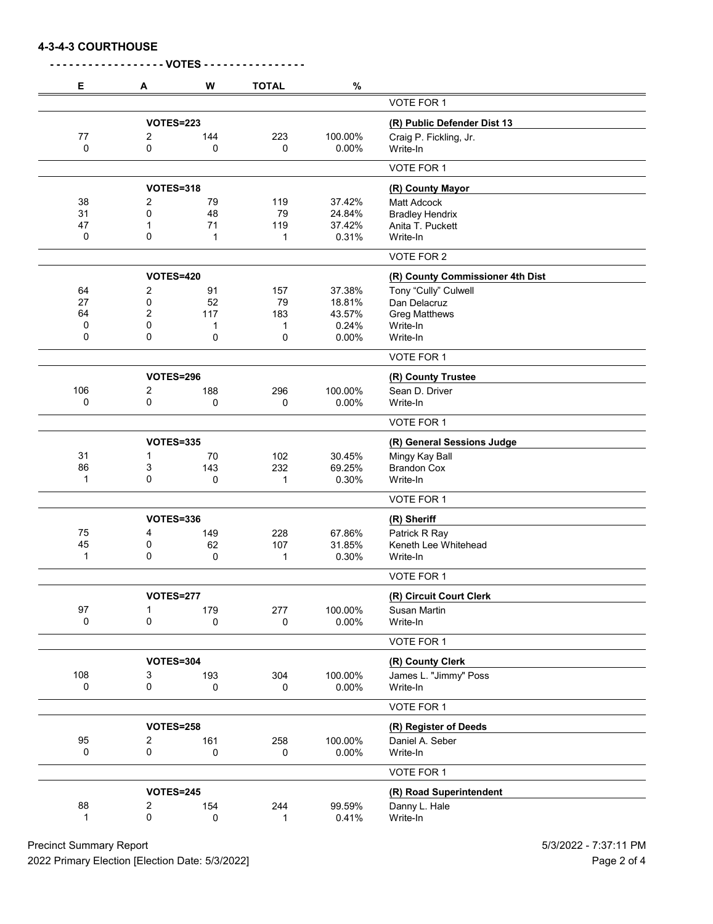**4-3-4-3 COURTHOUSE**

| Е   | A                | W           | <b>TOTAL</b> | $\%$                        |                                  |
|-----|------------------|-------------|--------------|-----------------------------|----------------------------------|
|     |                  |             |              |                             | VOTE FOR 1                       |
|     | <b>VOTES=223</b> |             |              | (R) Public Defender Dist 13 |                                  |
| 77  | 2                | 144         | 223          | 100.00%                     | Craig P. Fickling, Jr.           |
| 0   | 0                | 0           | 0            | 0.00%                       | Write-In                         |
|     |                  |             |              |                             | VOTE FOR 1                       |
|     | <b>VOTES=318</b> |             |              | (R) County Mayor            |                                  |
| 38  | 2                | 79          | 119          | 37.42%                      | <b>Matt Adcock</b>               |
| 31  | 0                | 48          | 79           | 24.84%                      | <b>Bradley Hendrix</b>           |
| 47  | 1                | 71          | 119          | 37.42%                      | Anita T. Puckett                 |
| 0   | 0                | 1           | 1            | 0.31%                       | Write-In                         |
|     |                  |             |              |                             | VOTE FOR 2                       |
|     | <b>VOTES=420</b> |             |              |                             | (R) County Commissioner 4th Dist |
| 64  | $\overline{2}$   | 91          | 157          | 37.38%                      | Tony "Cully" Culwell             |
| 27  | 0                | 52          | 79           | 18.81%                      | Dan Delacruz                     |
| 64  | $\overline{2}$   | 117         | 183          | 43.57%                      | <b>Greg Matthews</b>             |
| 0   | 0                | 1           | 1            | 0.24%                       | Write-In                         |
| 0   | 0                | 0           | 0            | 0.00%                       | Write-In                         |
|     |                  |             |              |                             | VOTE FOR 1                       |
|     | <b>VOTES=296</b> |             |              |                             | (R) County Trustee               |
| 106 | 2                | 188         | 296          | 100.00%                     | Sean D. Driver                   |
| 0   | 0                | 0           | 0            | 0.00%                       | Write-In                         |
|     |                  |             |              |                             | VOTE FOR 1                       |
|     | <b>VOTES=335</b> |             |              |                             | (R) General Sessions Judge       |
| 31  | 1                | 70          | 102          | 30.45%                      | Mingy Kay Ball                   |
| 86  | 3                | 143         | 232          | 69.25%                      | <b>Brandon Cox</b>               |
| 1   | 0                | 0           | 1            | 0.30%                       | Write-In                         |
|     |                  |             |              |                             | VOTE FOR 1                       |
|     | <b>VOTES=336</b> |             |              |                             | (R) Sheriff                      |
| 75  | 4                | 149         | 228          | 67.86%                      | Patrick R Ray                    |
| 45  | 0                | 62          | 107          | 31.85%                      | Keneth Lee Whitehead             |
| 1   | 0                | 0           | 1            | 0.30%                       | Write-In                         |
|     |                  |             |              |                             | VOTE FOR 1                       |
|     | <b>VOTES=277</b> |             |              |                             | (R) Circuit Court Clerk          |
| 97  | 1                | 179         | 277          | 100.00%                     | Susan Martin                     |
| 0   | 0                | $\mathbf 0$ | 0            | 0.00%                       | Write-In                         |
|     |                  |             |              |                             | VOTE FOR 1                       |
|     | <b>VOTES=304</b> |             |              | (R) County Clerk            |                                  |
| 108 | 3                | 193         | 304          | 100.00%                     | James L. "Jimmy" Poss            |
|     | 0                | 0           | 0            | $0.00\%$                    | Write-In                         |
| 0   |                  |             |              |                             |                                  |
|     |                  |             |              |                             | VOTE FOR 1                       |
|     | <b>VOTES=258</b> |             |              |                             | (R) Register of Deeds            |
| 95  | $\overline{2}$   | 161         | 258          | 100.00%                     | Daniel A. Seber                  |
| 0   | $\pmb{0}$        | 0           | 0            | 0.00%                       | Write-In                         |
|     |                  |             |              |                             | VOTE FOR 1                       |
|     | <b>VOTES=245</b> |             |              |                             | (R) Road Superintendent          |
| 88  | 2                | 154         | 244          | 99.59%                      | Danny L. Hale                    |
| 1   | 0                | 0           | 1            | 0.41%                       | Write-In                         |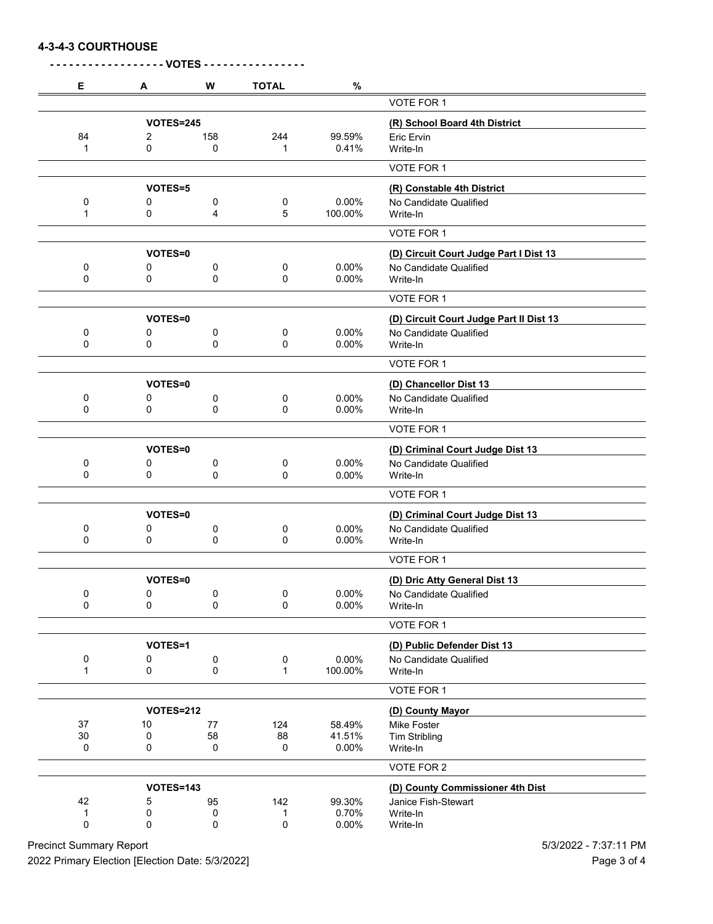## **4-3-4-3 COURTHOUSE**

| Е                | A                               | W            | <b>TOTAL</b>  | $\%$                        |                                                                                 |
|------------------|---------------------------------|--------------|---------------|-----------------------------|---------------------------------------------------------------------------------|
|                  |                                 |              |               |                             | <b>VOTE FOR 1</b>                                                               |
|                  | <b>VOTES=245</b>                |              |               |                             | (R) School Board 4th District                                                   |
| 84               | 2                               | 158          | 244           | 99.59%                      | Eric Ervin                                                                      |
| 1                | 0                               | 0            | 1             | 0.41%                       | Write-In                                                                        |
|                  |                                 |              |               |                             | VOTE FOR 1                                                                      |
|                  | VOTES=5                         |              |               |                             | (R) Constable 4th District                                                      |
| 0                | 0                               | 0            | 0             | 0.00%                       | No Candidate Qualified                                                          |
| 1                | 0                               | 4            | 5             | 100.00%                     | Write-In                                                                        |
|                  |                                 |              |               |                             | VOTE FOR 1                                                                      |
|                  | VOTES=0                         |              |               |                             | (D) Circuit Court Judge Part I Dist 13                                          |
| 0                | 0                               | 0            | 0             | 0.00%                       | No Candidate Qualified                                                          |
| 0                | 0                               | 0            | 0             | 0.00%                       | Write-In                                                                        |
|                  |                                 |              |               |                             | VOTE FOR 1                                                                      |
|                  | VOTES=0                         |              |               |                             | (D) Circuit Court Judge Part II Dist 13                                         |
| 0                | 0                               | 0            | 0             | 0.00%                       | No Candidate Qualified                                                          |
| 0                | 0                               | 0            | 0             | 0.00%                       | Write-In                                                                        |
|                  |                                 |              |               |                             | VOTE FOR 1                                                                      |
|                  | VOTES=0                         |              |               |                             | (D) Chancellor Dist 13                                                          |
| 0                | 0                               | 0            | 0             | 0.00%                       | No Candidate Qualified                                                          |
| 0                | 0                               | 0            | 0             | 0.00%                       | Write-In                                                                        |
|                  |                                 |              |               |                             | VOTE FOR 1                                                                      |
|                  | VOTES=0                         |              |               |                             | (D) Criminal Court Judge Dist 13                                                |
| 0                | 0                               | 0            | 0             | 0.00%                       | No Candidate Qualified                                                          |
| 0                | 0                               | 0            | 0             | 0.00%                       | Write-In                                                                        |
|                  |                                 |              |               |                             | VOTE FOR 1                                                                      |
|                  | VOTES=0                         |              |               |                             | (D) Criminal Court Judge Dist 13                                                |
| 0                | 0                               | 0            | 0             | 0.00%                       | No Candidate Qualified                                                          |
| 0                | 0                               | 0            | 0             | 0.00%                       | Write-In                                                                        |
|                  |                                 |              |               |                             | VOTE FOR 1                                                                      |
|                  | VOTES=0                         |              |               |                             | (D) Dric Atty General Dist 13                                                   |
| 0                | $\pmb{0}$                       | 0            | 0             | 0.00%                       | No Candidate Qualified                                                          |
| 0                | 0                               | 0            | 0             | 0.00%                       | Write-In                                                                        |
|                  |                                 |              |               |                             | VOTE FOR 1                                                                      |
|                  | VOTES=1                         |              |               | (D) Public Defender Dist 13 |                                                                                 |
| 0                | 0                               | 0            | 0             | 0.00%                       | No Candidate Qualified                                                          |
| 1                | 0                               | 0            | $\mathbf{1}$  | 100.00%                     | Write-In                                                                        |
|                  |                                 |              |               |                             | VOTE FOR 1                                                                      |
| <b>VOTES=212</b> |                                 |              |               |                             | (D) County Mayor                                                                |
| 37               | 10                              | 77           | 124           | 58.49%                      | Mike Foster                                                                     |
| 30<br>0          | 0<br>0                          | 58<br>0      | 88<br>0       | 41.51%<br>0.00%             | <b>Tim Stribling</b><br>Write-In                                                |
|                  |                                 |              |               |                             |                                                                                 |
|                  |                                 |              |               |                             | VOTE FOR 2                                                                      |
|                  |                                 |              |               |                             |                                                                                 |
| 42               |                                 |              |               |                             |                                                                                 |
| 1<br>0           |                                 |              |               |                             |                                                                                 |
|                  | <b>VOTES=143</b><br>5<br>0<br>0 | 95<br>0<br>0 | 142<br>1<br>0 | 99.30%<br>0.70%<br>0.00%    | (D) County Commissioner 4th Dist<br>Janice Fish-Stewart<br>Write-In<br>Write-In |